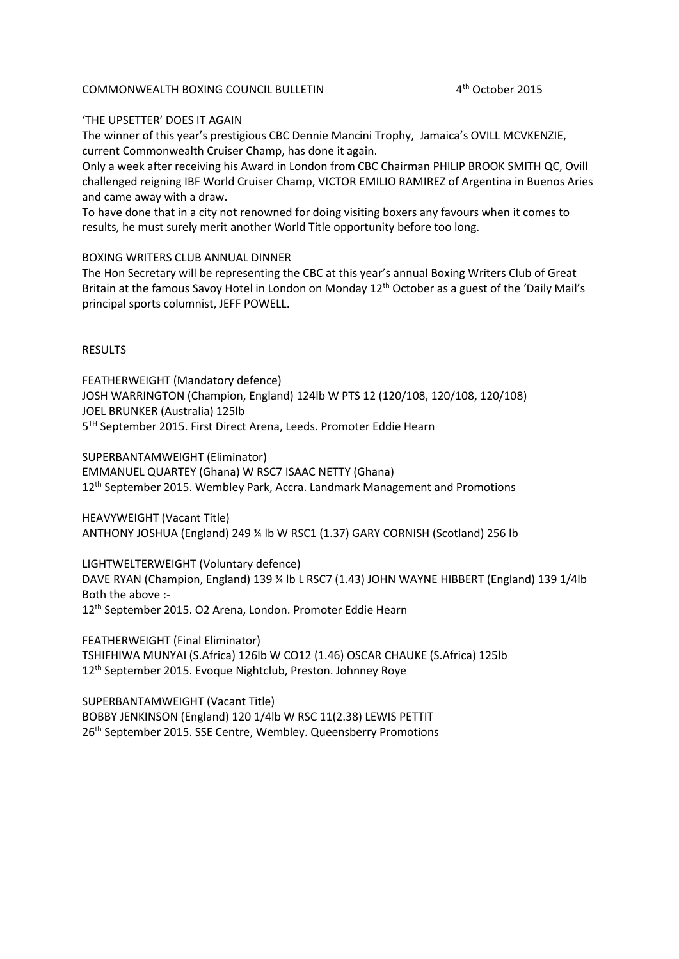## COMMONWEALTH BOXING COUNCIL BULLETIN 4th October 2015

## 'THE UPSETTER' DOES IT AGAIN

The winner of this year's prestigious CBC Dennie Mancini Trophy, Jamaica's OVILL MCVKENZIE, current Commonwealth Cruiser Champ, has done it again.

Only a week after receiving his Award in London from CBC Chairman PHILIP BROOK SMITH QC, Ovill challenged reigning IBF World Cruiser Champ, VICTOR EMILIO RAMIREZ of Argentina in Buenos Aries and came away with a draw.

To have done that in a city not renowned for doing visiting boxers any favours when it comes to results, he must surely merit another World Title opportunity before too long.

## BOXING WRITERS CLUB ANNUAL DINNER

The Hon Secretary will be representing the CBC at this year's annual Boxing Writers Club of Great Britain at the famous Savoy Hotel in London on Monday 12<sup>th</sup> October as a guest of the 'Daily Mail's principal sports columnist, JEFF POWELL.

## **RESULTS**

FEATHERWEIGHT (Mandatory defence) JOSH WARRINGTON (Champion, England) 124lb W PTS 12 (120/108, 120/108, 120/108) JOEL BRUNKER (Australia) 125lb 5<sup>TH</sup> September 2015. First Direct Arena, Leeds. Promoter Eddie Hearn

SUPERBANTAMWEIGHT (Eliminator) EMMANUEL QUARTEY (Ghana) W RSC7 ISAAC NETTY (Ghana) 12<sup>th</sup> September 2015. Wembley Park, Accra. Landmark Management and Promotions

HEAVYWEIGHT (Vacant Title) ANTHONY JOSHUA (England) 249 ¼ lb W RSC1 (1.37) GARY CORNISH (Scotland) 256 lb

LIGHTWELTERWEIGHT (Voluntary defence) DAVE RYAN (Champion, England) 139 ¼ lb L RSC7 (1.43) JOHN WAYNE HIBBERT (England) 139 1/4lb Both the above :- 12th September 2015. O2 Arena, London. Promoter Eddie Hearn

FEATHERWEIGHT (Final Eliminator) TSHIFHIWA MUNYAI (S.Africa) 126lb W CO12 (1.46) OSCAR CHAUKE (S.Africa) 125lb 12th September 2015. Evoque Nightclub, Preston. Johnney Roye

SUPERBANTAMWEIGHT (Vacant Title) BOBBY JENKINSON (England) 120 1/4lb W RSC 11(2.38) LEWIS PETTIT 26th September 2015. SSE Centre, Wembley. Queensberry Promotions